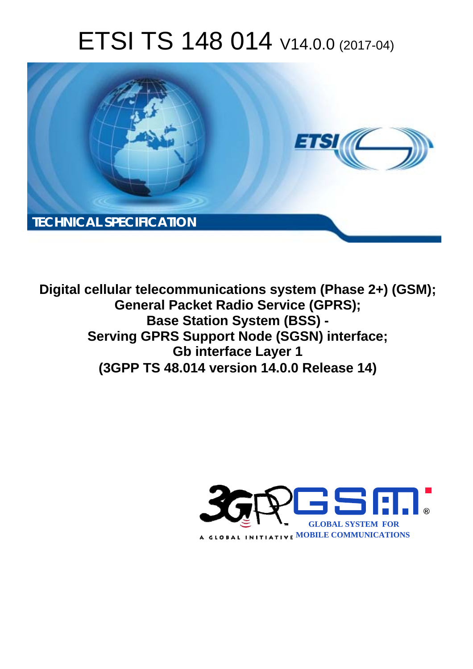# ETSI TS 148 014 V14.0.0 (2017-04)



**Digital cellular telecommunications system (Phase 2+) (GSM); General Packet Radio Service (GPRS); Base Station System (BSS) - Serving GPRS Support Node (SGSN) interface; Gb interface Layer 1 (3GPP TS 48.014 version 14.0.0 Release 14)** 

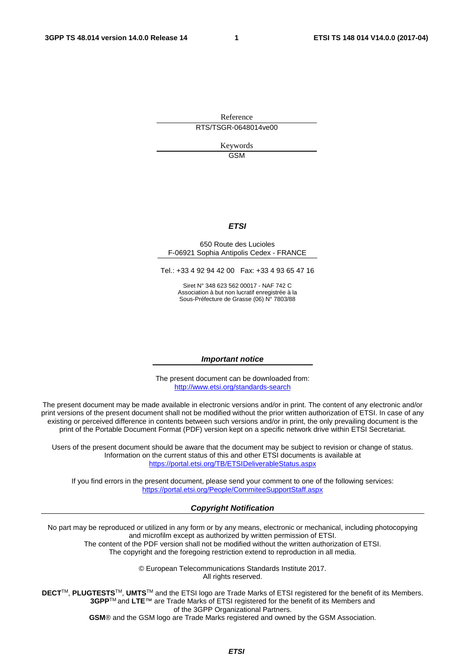Reference RTS/TSGR-0648014ve00

> Keywords GSM

#### *ETSI*

#### 650 Route des Lucioles F-06921 Sophia Antipolis Cedex - FRANCE

Tel.: +33 4 92 94 42 00 Fax: +33 4 93 65 47 16

Siret N° 348 623 562 00017 - NAF 742 C Association à but non lucratif enregistrée à la Sous-Préfecture de Grasse (06) N° 7803/88

#### *Important notice*

The present document can be downloaded from: <http://www.etsi.org/standards-search>

The present document may be made available in electronic versions and/or in print. The content of any electronic and/or print versions of the present document shall not be modified without the prior written authorization of ETSI. In case of any existing or perceived difference in contents between such versions and/or in print, the only prevailing document is the print of the Portable Document Format (PDF) version kept on a specific network drive within ETSI Secretariat.

Users of the present document should be aware that the document may be subject to revision or change of status. Information on the current status of this and other ETSI documents is available at <https://portal.etsi.org/TB/ETSIDeliverableStatus.aspx>

If you find errors in the present document, please send your comment to one of the following services: <https://portal.etsi.org/People/CommiteeSupportStaff.aspx>

#### *Copyright Notification*

No part may be reproduced or utilized in any form or by any means, electronic or mechanical, including photocopying and microfilm except as authorized by written permission of ETSI.

The content of the PDF version shall not be modified without the written authorization of ETSI. The copyright and the foregoing restriction extend to reproduction in all media.

> © European Telecommunications Standards Institute 2017. All rights reserved.

**DECT**TM, **PLUGTESTS**TM, **UMTS**TM and the ETSI logo are Trade Marks of ETSI registered for the benefit of its Members. **3GPP**TM and **LTE**™ are Trade Marks of ETSI registered for the benefit of its Members and of the 3GPP Organizational Partners.

**GSM**® and the GSM logo are Trade Marks registered and owned by the GSM Association.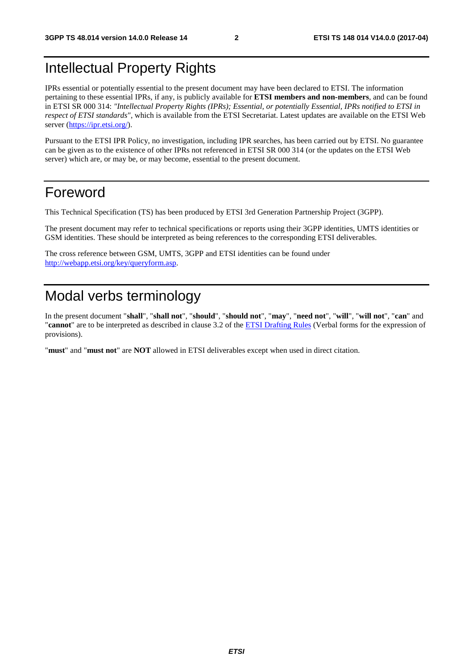### Intellectual Property Rights

IPRs essential or potentially essential to the present document may have been declared to ETSI. The information pertaining to these essential IPRs, if any, is publicly available for **ETSI members and non-members**, and can be found in ETSI SR 000 314: *"Intellectual Property Rights (IPRs); Essential, or potentially Essential, IPRs notified to ETSI in respect of ETSI standards"*, which is available from the ETSI Secretariat. Latest updates are available on the ETSI Web server ([https://ipr.etsi.org/\)](https://ipr.etsi.org/).

Pursuant to the ETSI IPR Policy, no investigation, including IPR searches, has been carried out by ETSI. No guarantee can be given as to the existence of other IPRs not referenced in ETSI SR 000 314 (or the updates on the ETSI Web server) which are, or may be, or may become, essential to the present document.

#### Foreword

This Technical Specification (TS) has been produced by ETSI 3rd Generation Partnership Project (3GPP).

The present document may refer to technical specifications or reports using their 3GPP identities, UMTS identities or GSM identities. These should be interpreted as being references to the corresponding ETSI deliverables.

The cross reference between GSM, UMTS, 3GPP and ETSI identities can be found under [http://webapp.etsi.org/key/queryform.asp.](http://webapp.etsi.org/key/queryform.asp)

### Modal verbs terminology

In the present document "**shall**", "**shall not**", "**should**", "**should not**", "**may**", "**need not**", "**will**", "**will not**", "**can**" and "**cannot**" are to be interpreted as described in clause 3.2 of the [ETSI Drafting Rules](https://portal.etsi.org/Services/editHelp!/Howtostart/ETSIDraftingRules.aspx) (Verbal forms for the expression of provisions).

"**must**" and "**must not**" are **NOT** allowed in ETSI deliverables except when used in direct citation.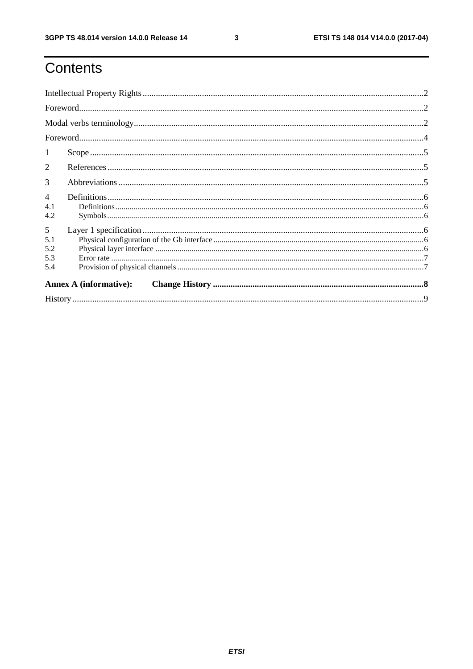$\mathbf{3}$ 

## Contents

| 1                             |  |  |  |  |  |
|-------------------------------|--|--|--|--|--|
| 2                             |  |  |  |  |  |
| 3                             |  |  |  |  |  |
| $\overline{4}$                |  |  |  |  |  |
| 4.1<br>4.2                    |  |  |  |  |  |
| 5                             |  |  |  |  |  |
| 5.1                           |  |  |  |  |  |
| 5.2                           |  |  |  |  |  |
| 5.3                           |  |  |  |  |  |
| 5.4                           |  |  |  |  |  |
| <b>Annex A (informative):</b> |  |  |  |  |  |
|                               |  |  |  |  |  |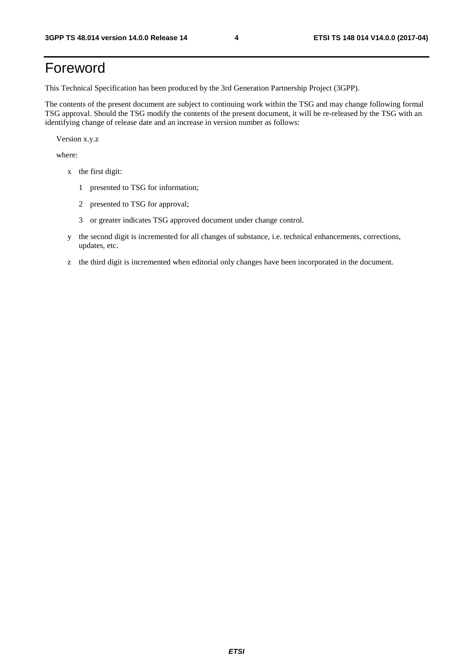### Foreword

This Technical Specification has been produced by the 3rd Generation Partnership Project (3GPP).

The contents of the present document are subject to continuing work within the TSG and may change following formal TSG approval. Should the TSG modify the contents of the present document, it will be re-released by the TSG with an identifying change of release date and an increase in version number as follows:

Version x.y.z

where:

- x the first digit:
	- 1 presented to TSG for information;
	- 2 presented to TSG for approval;
	- 3 or greater indicates TSG approved document under change control.
- y the second digit is incremented for all changes of substance, i.e. technical enhancements, corrections, updates, etc.
- z the third digit is incremented when editorial only changes have been incorporated in the document.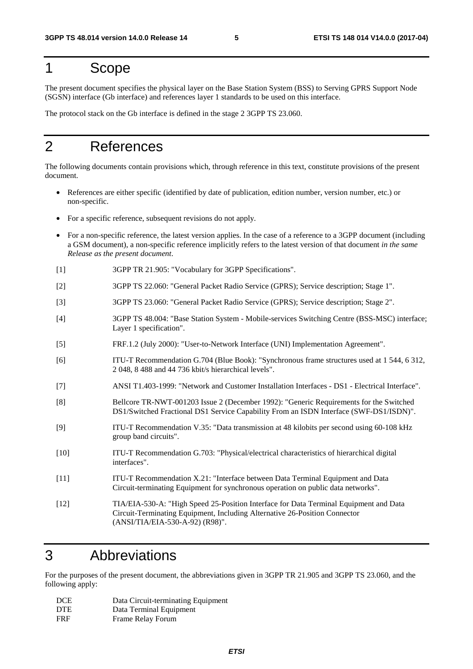#### 1 Scope

The present document specifies the physical layer on the Base Station System (BSS) to Serving GPRS Support Node (SGSN) interface (Gb interface) and references layer 1 standards to be used on this interface.

The protocol stack on the Gb interface is defined in the stage 2 3GPP TS 23.060.

#### 2 References

The following documents contain provisions which, through reference in this text, constitute provisions of the present document.

- References are either specific (identified by date of publication, edition number, version number, etc.) or non-specific.
- For a specific reference, subsequent revisions do not apply.
- For a non-specific reference, the latest version applies. In the case of a reference to a 3GPP document (including a GSM document), a non-specific reference implicitly refers to the latest version of that document *in the same Release as the present document*.
- [1] 3GPP TR 21.905: "Vocabulary for 3GPP Specifications".
- [2] 3GPP TS 22.060: "General Packet Radio Service (GPRS); Service description; Stage 1".
- [3] 3GPP TS 23.060: "General Packet Radio Service (GPRS); Service description; Stage 2".
- [4] 3GPP TS 48.004: "Base Station System Mobile-services Switching Centre (BSS-MSC) interface; Layer 1 specification".
- [5] FRF.1.2 (July 2000): "User-to-Network Interface (UNI) Implementation Agreement".
- [6] ITU-T Recommendation G.704 (Blue Book): "Synchronous frame structures used at 1 544, 6 312, 2 048, 8 488 and 44 736 kbit/s hierarchical levels".
- [7] ANSI T1.403-1999: "Network and Customer Installation Interfaces DS1 Electrical Interface".
- [8] Bellcore TR-NWT-001203 Issue 2 (December 1992): "Generic Requirements for the Switched DS1/Switched Fractional DS1 Service Capability From an ISDN Interface (SWF-DS1/ISDN)".
- [9] ITU-T Recommendation V.35: "Data transmission at 48 kilobits per second using 60-108 kHz group band circuits".
- [10] ITU-T Recommendation G.703: "Physical/electrical characteristics of hierarchical digital interfaces".
- [11] ITU-T Recommendation X.21: "Interface between Data Terminal Equipment and Data Circuit-terminating Equipment for synchronous operation on public data networks".
- [12] TIA/EIA-530-A: "High Speed 25-Position Interface for Data Terminal Equipment and Data Circuit-Terminating Equipment, Including Alternative 26-Position Connector (ANSI/TIA/EIA-530-A-92) (R98)".

#### 3 Abbreviations

For the purposes of the present document, the abbreviations given in 3GPP TR 21.905 and 3GPP TS 23.060, and the following apply:

| <b>DCE</b> | Data Circuit-terminating Equipment |
|------------|------------------------------------|
| <b>DTE</b> | Data Terminal Equipment            |
| <b>FRF</b> | Frame Relay Forum                  |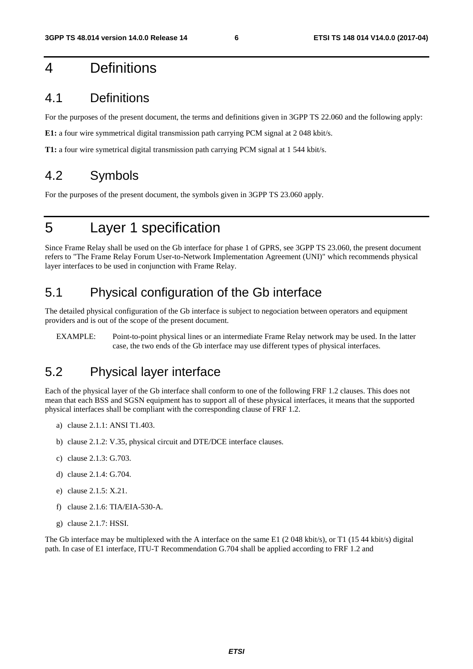#### 4 Definitions

#### 4.1 Definitions

For the purposes of the present document, the terms and definitions given in 3GPP TS 22.060 and the following apply:

**E1:** a four wire symmetrical digital transmission path carrying PCM signal at 2 048 kbit/s.

**T1:** a four wire symetrical digital transmission path carrying PCM signal at 1 544 kbit/s.

#### 4.2 Symbols

For the purposes of the present document, the symbols given in 3GPP TS 23.060 apply.

#### 5 Layer 1 specification

Since Frame Relay shall be used on the Gb interface for phase 1 of GPRS, see 3GPP TS 23.060, the present document refers to "The Frame Relay Forum User-to-Network Implementation Agreement (UNI)" which recommends physical layer interfaces to be used in conjunction with Frame Relay.

#### 5.1 Physical configuration of the Gb interface

The detailed physical configuration of the Gb interface is subject to negociation between operators and equipment providers and is out of the scope of the present document.

EXAMPLE: Point-to-point physical lines or an intermediate Frame Relay network may be used. In the latter case, the two ends of the Gb interface may use different types of physical interfaces.

#### 5.2 Physical layer interface

Each of the physical layer of the Gb interface shall conform to one of the following FRF 1.2 clauses. This does not mean that each BSS and SGSN equipment has to support all of these physical interfaces, it means that the supported physical interfaces shall be compliant with the corresponding clause of FRF 1.2.

- a) clause 2.1.1: ANSI T1.403.
- b) clause 2.1.2: V.35, physical circuit and DTE/DCE interface clauses.
- c) clause 2.1.3: G.703.
- d) clause 2.1.4: G.704.
- e) clause 2.1.5: X.21.
- f) clause 2.1.6: TIA/EIA-530-A.
- g) clause 2.1.7: HSSI.

The Gb interface may be multiplexed with the A interface on the same E1 (2048 kbit/s), or T1 (1544 kbit/s) digital path. In case of E1 interface, ITU-T Recommendation G.704 shall be applied according to FRF 1.2 and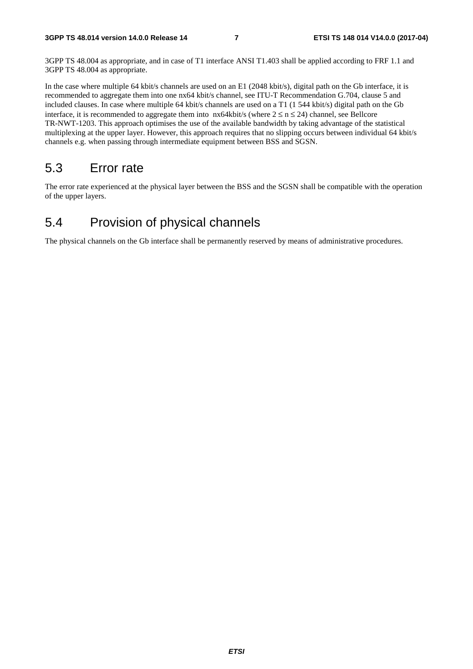3GPP TS 48.004 as appropriate, and in case of T1 interface ANSI T1.403 shall be applied according to FRF 1.1 and 3GPP TS 48.004 as appropriate.

In the case where multiple 64 kbit/s channels are used on an E1 (2048 kbit/s), digital path on the Gb interface, it is recommended to aggregate them into one nx64 kbit/s channel, see ITU-T Recommendation G.704, clause 5 and included clauses. In case where multiple 64 kbit/s channels are used on a T1 (1 544 kbit/s) digital path on the Gb interface, it is recommended to aggregate them into  $nx64kbit/s$  (where  $2 \le n \le 24$ ) channel, see Bellcore TR-NWT-1203. This approach optimises the use of the available bandwidth by taking advantage of the statistical multiplexing at the upper layer. However, this approach requires that no slipping occurs between individual 64 kbit/s channels e.g. when passing through intermediate equipment between BSS and SGSN.

#### 5.3 Error rate

The error rate experienced at the physical layer between the BSS and the SGSN shall be compatible with the operation of the upper layers.

#### 5.4 Provision of physical channels

The physical channels on the Gb interface shall be permanently reserved by means of administrative procedures.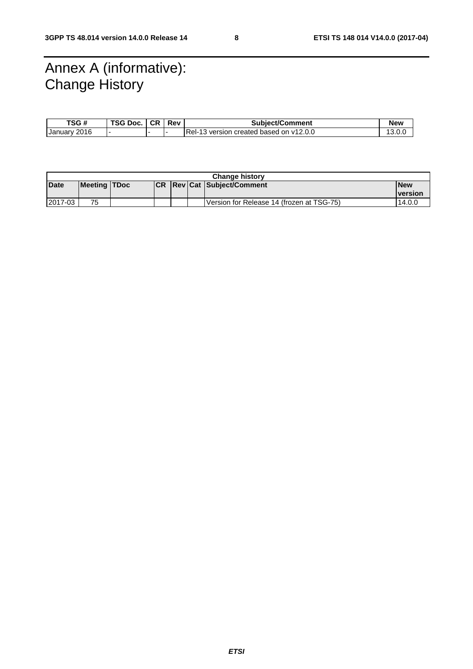### Annex A (informative): Change History

| TSG#         | TSG Doc. | <b>CR</b> | Rev | <b>Subject/Comment</b>                  | <b>New</b> |
|--------------|----------|-----------|-----|-----------------------------------------|------------|
| January 2016 |          |           |     | Rel-13 version created based on v12.0.0 |            |

| <b>Change history</b> |              |  |  |  |  |                                           |                |
|-----------------------|--------------|--|--|--|--|-------------------------------------------|----------------|
| Date                  | Meeting TDoc |  |  |  |  | <b>Revicat Subject/Comment</b>            | <b>New</b>     |
|                       |              |  |  |  |  |                                           | <b>version</b> |
| 2017-03               | 75           |  |  |  |  | Version for Release 14 (frozen at TSG-75) | 14.0.0         |